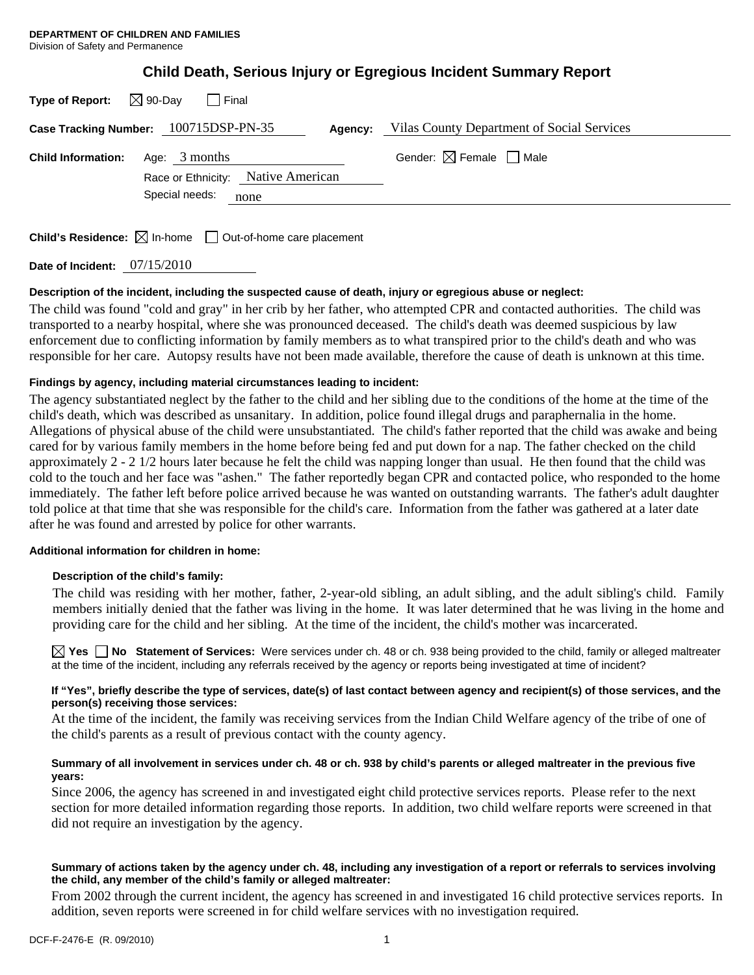| Type of Report: $\boxtimes$ 90-Day    | l Final         |                                    |         |                                            |
|---------------------------------------|-----------------|------------------------------------|---------|--------------------------------------------|
| Case Tracking Number: 100715DSP-PN-35 |                 |                                    | Agency: | Vilas County Department of Social Services |
| <b>Child Information:</b>             | Age: $3$ months | Race or Ethnicity: Native American |         | Gender: $\boxtimes$ Female $\Box$ Male     |
|                                       | Special needs:  | none                               |         |                                            |

**Child's Residence:**  $\boxtimes$  In-home  $\Box$  Out-of-home care placement

**Date of Incident:** 07/15/2010

## **Description of the incident, including the suspected cause of death, injury or egregious abuse or neglect:**

The child was found "cold and gray" in her crib by her father, who attempted CPR and contacted authorities. The child was transported to a nearby hospital, where she was pronounced deceased. The child's death was deemed suspicious by law enforcement due to conflicting information by family members as to what transpired prior to the child's death and who was responsible for her care. Autopsy results have not been made available, therefore the cause of death is unknown at this time.

## **Findings by agency, including material circumstances leading to incident:**

The agency substantiated neglect by the father to the child and her sibling due to the conditions of the home at the time of the child's death, which was described as unsanitary. In addition, police found illegal drugs and paraphernalia in the home. Allegations of physical abuse of the child were unsubstantiated. The child's father reported that the child was awake and being cared for by various family members in the home before being fed and put down for a nap. The father checked on the child approximately 2 - 2 1/2 hours later because he felt the child was napping longer than usual. He then found that the child was cold to the touch and her face was "ashen." The father reportedly began CPR and contacted police, who responded to the home immediately. The father left before police arrived because he was wanted on outstanding warrants. The father's adult daughter told police at that time that she was responsible for the child's care. Information from the father was gathered at a later date after he was found and arrested by police for other warrants.

### **Additional information for children in home:**

### **Description of the child's family:**

 The child was residing with her mother, father, 2-year-old sibling, an adult sibling, and the adult sibling's child. Family members initially denied that the father was living in the home. It was later determined that he was living in the home and providing care for the child and her sibling. At the time of the incident, the child's mother was incarcerated.

**Yes No Statement of Services:** Were services under ch. 48 or ch. 938 being provided to the child, family or alleged maltreater at the time of the incident, including any referrals received by the agency or reports being investigated at time of incident?

#### **If "Yes", briefly describe the type of services, date(s) of last contact between agency and recipient(s) of those services, and the person(s) receiving those services:**

At the time of the incident, the family was receiving services from the Indian Child Welfare agency of the tribe of one of the child's parents as a result of previous contact with the county agency.

### **Summary of all involvement in services under ch. 48 or ch. 938 by child's parents or alleged maltreater in the previous five years:**

Since 2006, the agency has screened in and investigated eight child protective services reports. Please refer to the next section for more detailed information regarding those reports. In addition, two child welfare reports were screened in that did not require an investigation by the agency.

### **Summary of actions taken by the agency under ch. 48, including any investigation of a report or referrals to services involving the child, any member of the child's family or alleged maltreater:**

From 2002 through the current incident, the agency has screened in and investigated 16 child protective services reports. In addition, seven reports were screened in for child welfare services with no investigation required.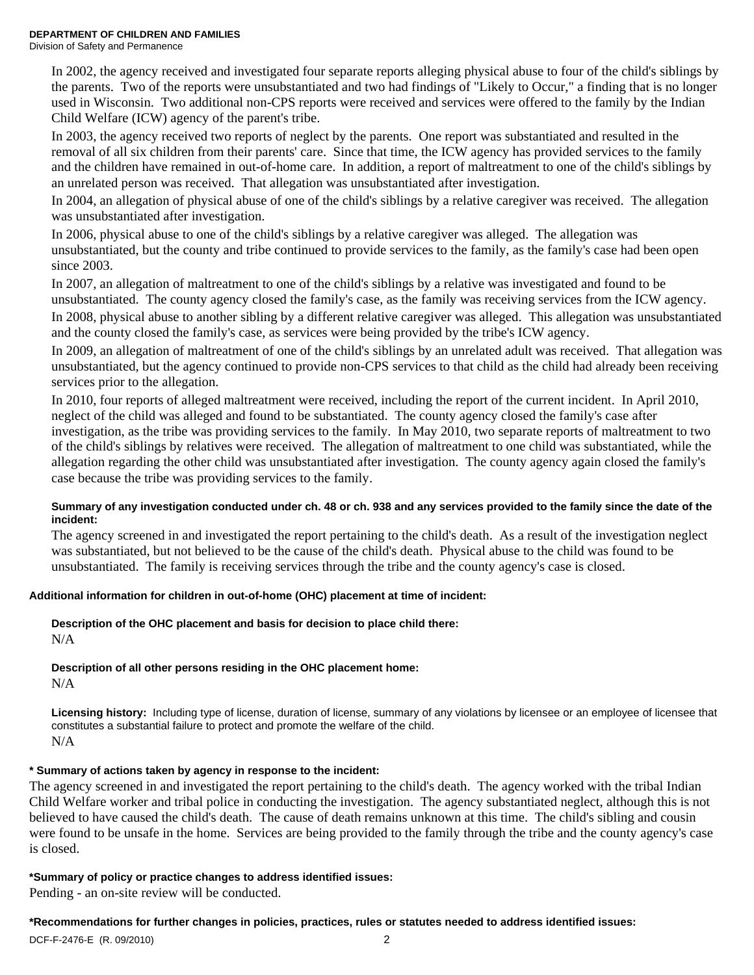In 2002, the agency received and investigated four separate reports alleging physical abuse to four of the child's siblings by the parents. Two of the reports were unsubstantiated and two had findings of "Likely to Occur," a finding that is no longer used in Wisconsin. Two additional non-CPS reports were received and services were offered to the family by the Indian Child Welfare (ICW) agency of the parent's tribe.

In 2003, the agency received two reports of neglect by the parents. One report was substantiated and resulted in the removal of all six children from their parents' care. Since that time, the ICW agency has provided services to the family and the children have remained in out-of-home care. In addition, a report of maltreatment to one of the child's siblings by an unrelated person was received. That allegation was unsubstantiated after investigation.

In 2004, an allegation of physical abuse of one of the child's siblings by a relative caregiver was received. The allegation was unsubstantiated after investigation.

In 2006, physical abuse to one of the child's siblings by a relative caregiver was alleged. The allegation was unsubstantiated, but the county and tribe continued to provide services to the family, as the family's case had been open since 2003.

In 2007, an allegation of maltreatment to one of the child's siblings by a relative was investigated and found to be unsubstantiated. The county agency closed the family's case, as the family was receiving services from the ICW agency. In 2008, physical abuse to another sibling by a different relative caregiver was alleged. This allegation was unsubstantiated and the county closed the family's case, as services were being provided by the tribe's ICW agency.

In 2009, an allegation of maltreatment of one of the child's siblings by an unrelated adult was received. That allegation was unsubstantiated, but the agency continued to provide non-CPS services to that child as the child had already been receiving services prior to the allegation.

In 2010, four reports of alleged maltreatment were received, including the report of the current incident. In April 2010, neglect of the child was alleged and found to be substantiated. The county agency closed the family's case after investigation, as the tribe was providing services to the family. In May 2010, two separate reports of maltreatment to two of the child's siblings by relatives were received. The allegation of maltreatment to one child was substantiated, while the allegation regarding the other child was unsubstantiated after investigation. The county agency again closed the family's case because the tribe was providing services to the family.

### **Summary of any investigation conducted under ch. 48 or ch. 938 and any services provided to the family since the date of the incident:**

The agency screened in and investigated the report pertaining to the child's death. As a result of the investigation neglect was substantiated, but not believed to be the cause of the child's death. Physical abuse to the child was found to be unsubstantiated. The family is receiving services through the tribe and the county agency's case is closed.

## **Additional information for children in out-of-home (OHC) placement at time of incident:**

# **Description of the OHC placement and basis for decision to place child there:**

N/A

# **Description of all other persons residing in the OHC placement home:**

N/A

**Licensing history:** Including type of license, duration of license, summary of any violations by licensee or an employee of licensee that constitutes a substantial failure to protect and promote the welfare of the child. N/A

# **\* Summary of actions taken by agency in response to the incident:**

The agency screened in and investigated the report pertaining to the child's death. The agency worked with the tribal Indian Child Welfare worker and tribal police in conducting the investigation. The agency substantiated neglect, although this is not believed to have caused the child's death. The cause of death remains unknown at this time. The child's sibling and cousin were found to be unsafe in the home. Services are being provided to the family through the tribe and the county agency's case is closed.

## **\*Summary of policy or practice changes to address identified issues:**

Pending - an on-site review will be conducted.

## **\*Recommendations for further changes in policies, practices, rules or statutes needed to address identified issues:**